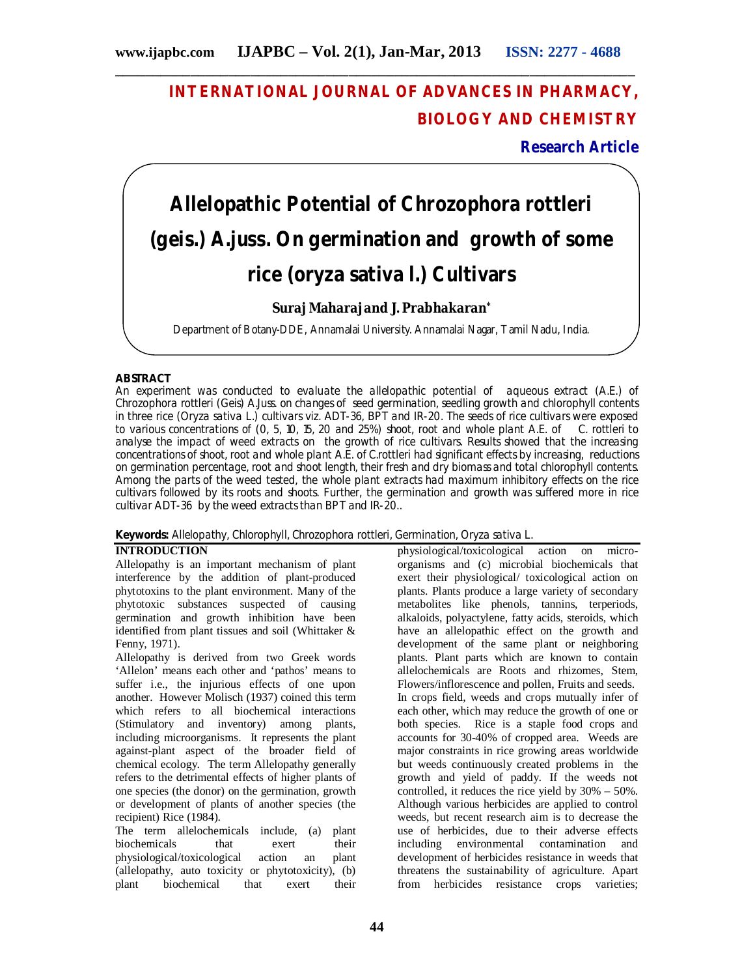# **INTERNATIONAL JOURNAL OF ADVANCES IN PHARMACY, BIOLOGY AND CHEMISTRY**

**Research Article**

# **Allelopathic Potential of** *Chrozophora rottleri (geis.) A.juss.* **On germination and growth of some rice (***oryza sativa* **l.) Cultivars**

# **Suraj Maharajand J. Prabhakaran\***

Department of Botany-DDE, Annamalai University. Annamalai Nagar, Tamil Nadu, India.

# **ABSTRACT**

An experiment was conducted to evaluate the allelopathic potential of aqueous extract (A.E.) of *Chrozophora rottleri* (Geis) A.Juss. on changes of seed germination, seedling growth and chlorophyll contents in three rice (*Oryza sativa* L.) cultivars viz. ADT-36, BPT and IR-20. The seeds of rice cultivars were exposed to various concentrations of (0, 5, 10, 15, 20 and 25%) shoot, root and whole plant A.E. of *C. rottleri* to analyse the impact of weed extracts on the growth of rice cultivars. Results showed that the increasing concentrations of shoot, root and whole plant A.E. of *C.rottleri* had significant effects by increasing, reductions on germination percentage, root and shoot length, their fresh and dry biomass and total chlorophyll contents. Among the parts of the weed tested, the whole plant extracts had maximum inhibitory effects on the rice cultivars followed by its roots and shoots. Further, the germination and growth was suffered more in rice cultivar ADT-36 by the weed extracts than BPT and IR-20..

**Keywords:** Allelopathy, Chlorophyll, *Chrozophora rottleri*, Germination, *Oryza sativa* L.

#### **INTRODUCTION**

Allelopathy is an important mechanism of plant interference by the addition of plant-produced phytotoxins to the plant environment. Many of the phytotoxic substances suspected of causing germination and growth inhibition have been identified from plant tissues and soil (Whittaker & Fenny, 1971).

Allelopathy is derived from two Greek words 'Allelon' means each other and 'pathos' means to suffer i.e., the injurious effects of one upon another. However Molisch (1937) coined this term which refers to all biochemical interactions (Stimulatory and inventory) among plants, including microorganisms. It represents the plant against-plant aspect of the broader field of chemical ecology. The term Allelopathy generally refers to the detrimental effects of higher plants of one species (the donor) on the germination, growth or development of plants of another species (the recipient) Rice (1984).

The term allelochemicals include, (a) plant biochemicals that exert their biochemicals that exert their<br>physiological/toxicological action an plant physiological/toxicological action an (allelopathy, auto toxicity or phytotoxicity), (b) plant biochemical that exert their

physiological/toxicological action on microorganisms and (c) microbial biochemicals that exert their physiological/ toxicological action on plants. Plants produce a large variety of secondary metabolites like phenols, tannins, terperiods, alkaloids, polyactylene, fatty acids, steroids, which have an allelopathic effect on the growth and development of the same plant or neighboring plants. Plant parts which are known to contain allelochemicals are Roots and rhizomes, Stem, Flowers/inflorescence and pollen, Fruits and seeds. In crops field, weeds and crops mutually infer of each other, which may reduce the growth of one or both species. Rice is a staple food crops and accounts for 30-40% of cropped area. Weeds are major constraints in rice growing areas worldwide but weeds continuously created problems in the growth and yield of paddy. If the weeds not controlled, it reduces the rice yield by 30% – 50%. Although various herbicides are applied to control weeds, but recent research aim is to decrease the use of herbicides, due to their adverse effects including environmental contamination and development of herbicides resistance in weeds that threatens the sustainability of agriculture. Apart from herbicides resistance crops varieties;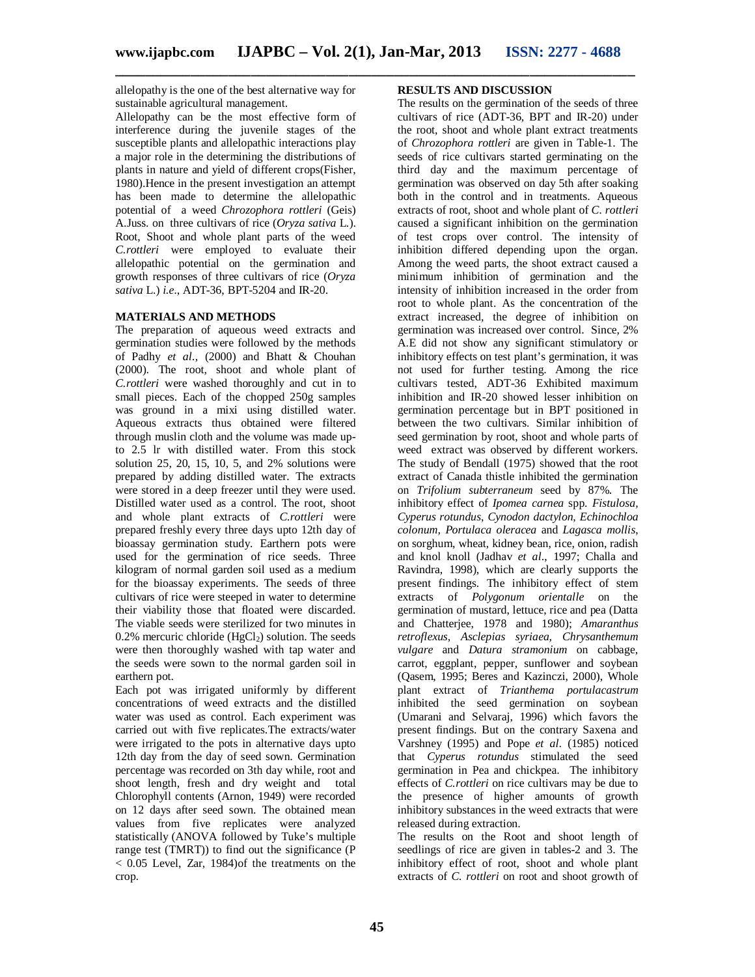allelopathy is the one of the best alternative way for sustainable agricultural management.

Allelopathy can be the most effective form of interference during the juvenile stages of the susceptible plants and allelopathic interactions play a major role in the determining the distributions of plants in nature and yield of different crops(Fisher, 1980).Hence in the present investigation an attempt has been made to determine the allelopathic potential of a weed *Chrozophora rottleri* (Geis) A.Juss. on three cultivars of rice (*Oryza sativa* L.). Root, Shoot and whole plant parts of the weed *C.rottleri* were employed to evaluate their allelopathic potential on the germination and growth responses of three cultivars of rice (*Oryza sativa* L.) *i.e*., ADT-36, BPT-5204 and IR-20.

# **MATERIALS AND METHODS**

The preparation of aqueous weed extracts and germination studies were followed by the methods of Padhy *et al.,* (2000) and Bhatt & Chouhan (2000). The root, shoot and whole plant of *C.rottleri* were washed thoroughly and cut in to small pieces. Each of the chopped 250g samples was ground in a mixi using distilled water. Aqueous extracts thus obtained were filtered through muslin cloth and the volume was made upto 2.5 lr with distilled water. From this stock solution 25, 20, 15, 10, 5, and 2% solutions were prepared by adding distilled water. The extracts were stored in a deep freezer until they were used. Distilled water used as a control. The root, shoot and whole plant extracts of *C.rottleri* were prepared freshly every three days upto 12th day of bioassay germination study. Earthern pots were used for the germination of rice seeds. Three kilogram of normal garden soil used as a medium for the bioassay experiments. The seeds of three cultivars of rice were steeped in water to determine their viability those that floated were discarded. The viable seeds were sterilized for two minutes in 0.2% mercuric chloride  $(HgCl<sub>2</sub>)$  solution. The seeds were then thoroughly washed with tap water and the seeds were sown to the normal garden soil in earthern pot.

Each pot was irrigated uniformly by different concentrations of weed extracts and the distilled water was used as control. Each experiment was carried out with five replicates.The extracts/water were irrigated to the pots in alternative days upto 12th day from the day of seed sown. Germination percentage was recorded on 3th day while, root and shoot length, fresh and dry weight and total Chlorophyll contents (Arnon, 1949) were recorded on 12 days after seed sown. The obtained mean values from five replicates were analyzed statistically (ANOVA followed by Tuke's multiple range test (TMRT)) to find out the significance (P  $<$  0.05 Level, Zar, 1984) of the treatments on the crop.

## **RESULTS AND DISCUSSION**

The results on the germination of the seeds of three cultivars of rice (ADT-36, BPT and IR-20) under the root, shoot and whole plant extract treatments of *Chrozophora rottleri* are given in Table-1. The seeds of rice cultivars started germinating on the third day and the maximum percentage of germination was observed on day 5th after soaking both in the control and in treatments. Aqueous extracts of root, shoot and whole plant of *C. rottleri* caused a significant inhibition on the germination of test crops over control. The intensity of inhibition differed depending upon the organ. Among the weed parts, the shoot extract caused a minimum inhibition of germination and the intensity of inhibition increased in the order from root to whole plant. As the concentration of the extract increased, the degree of inhibition on germination was increased over control. Since, 2% A.E did not show any significant stimulatory or inhibitory effects on test plant's germination, it was not used for further testing. Among the rice cultivars tested, ADT-36 Exhibited maximum inhibition and IR-20 showed lesser inhibition on germination percentage but in BPT positioned in between the two cultivars. Similar inhibition of seed germination by root, shoot and whole parts of weed extract was observed by different workers. The study of Bendall (1975) showed that the root extract of Canada thistle inhibited the germination on *Trifolium subterraneum* seed by 87%. The inhibitory effect of *Ipomea carnea* spp. *Fistulosa, Cyperus rotundus*, *Cynodon dactylon*, *Echinochloa colonum, Portulaca oleracea* and *Lagasca mollis*, on sorghum, wheat, kidney bean, rice, onion, radish and knol knoll (Jadhav *et al*., 1997; Challa and Ravindra, 1998), which are clearly supports the present findings. The inhibitory effect of stem extracts of *Polygonum orientalle* on the germination of mustard, lettuce, rice and pea (Datta and Chatterjee, 1978 and 1980); *Amaranthus retroflexus, Asclepias syriaea, Chrysanthemum vulgare* and *Datura stramonium* on cabbage, carrot, eggplant, pepper, sunflower and soybean (Qasem, 1995; Beres and Kazinczi, 2000), Whole plant extract of *Trianthema portulacastrum* inhibited the seed germination on soybean (Umarani and Selvaraj, 1996) which favors the present findings. But on the contrary Saxena and Varshney (1995) and Pope *et al*. (1985) noticed that *Cyperus rotundus* stimulated the seed germination in Pea and chickpea. The inhibitory effects of *C.rottleri* on rice cultivars may be due to the presence of higher amounts of growth inhibitory substances in the weed extracts that were released during extraction.

The results on the Root and shoot length of seedlings of rice are given in tables-2 and 3. The inhibitory effect of root, shoot and whole plant extracts of *C. rottleri* on root and shoot growth of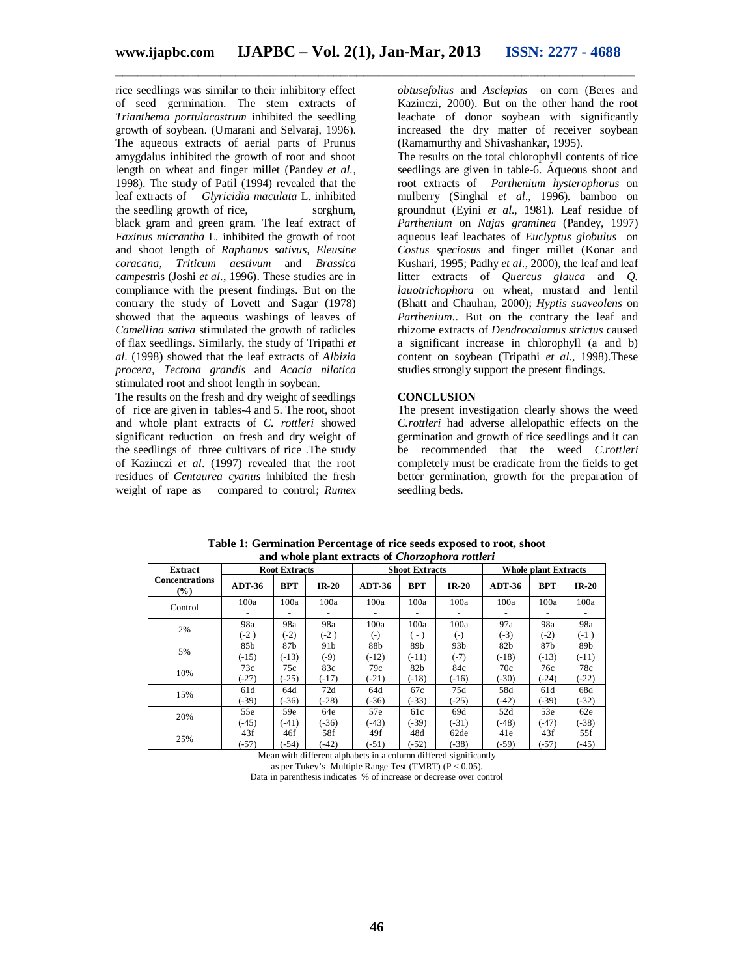rice seedlings was similar to their inhibitory effect of seed germination. The stem extracts of *Trianthema portulacastrum* inhibited the seedling growth of soybean. (Umarani and Selvaraj, 1996). The aqueous extracts of aerial parts of Prunus amygdalus inhibited the growth of root and shoot length on wheat and finger millet (Pandey *et al.,* 1998). The study of Patil (1994) revealed that the leaf extracts of *Glyricidia maculata* L. inhibited the seedling growth of rice, sorghum, black gram and green gram. The leaf extract of *Faxinus micrantha* L. inhibited the growth of root and shoot length of *Raphanus sativus, Eleusine coracana, Triticum aestivum* and *Brassica campest*ris (Joshi *et al*., 1996). These studies are in compliance with the present findings. But on the contrary the study of Lovett and Sagar (1978) showed that the aqueous washings of leaves of *Camellina sativa* stimulated the growth of radicles of flax seedlings. Similarly, the study of Tripathi *et al*. (1998) showed that the leaf extracts of *Albizia procera, Tectona grandis* and *Acacia nilotica* stimulated root and shoot length in soybean.

The results on the fresh and dry weight of seedlings of rice are given in tables-4 and 5. The root, shoot and whole plant extracts of *C. rottleri* showed significant reduction on fresh and dry weight of the seedlings of three cultivars of rice .The study of Kazinczi *et al*. (1997) revealed that the root residues of *Centaurea cyanus* inhibited the fresh weight of rape as compared to control; *Rumex* 

*obtusefolius* and *Asclepias* on corn (Beres and Kazinczi, 2000). But on the other hand the root leachate of donor soybean with significantly increased the dry matter of receiver soybean (Ramamurthy and Shivashankar, 1995).

The results on the total chlorophyll contents of rice seedlings are given in table-6. Aqueous shoot and root extracts of *Parthenium hysterophorus* on mulberry (Singhal *et al.,* 1996). bamboo on groundnut (Eyini *et al.,* 1981). Leaf residue of *Parthenium* on *Najas graminea* (Pandey, 1997) aqueous leaf leachates of *Euclyptus globulus* on *Costus speciosus* and finger millet (Konar and Kushari, 1995; Padhy *et al*., 2000), the leaf and leaf litter extracts of *Quercus glauca* and *Q. lauotrichophora* on wheat, mustard and lentil (Bhatt and Chauhan, 2000); *Hyptis suaveolens* on *Parthenium*.. But on the contrary the leaf and rhizome extracts of *Dendrocalamus strictus* caused a significant increase in chlorophyll (a and b) content on soybean (Tripathi *et al.,* 1998).These studies strongly support the present findings.

#### **CONCLUSION**

The present investigation clearly shows the weed *C.rottleri* had adverse allelopathic effects on the germination and growth of rice seedlings and it can be recommended that the weed *C.rottleri* completely must be eradicate from the fields to get better germination, growth for the preparation of seedling beds.

| and whoit plant txtracts of Chorgophoru routert |          |                      |         |          |                       |                 |                             |            |         |  |  |  |
|-------------------------------------------------|----------|----------------------|---------|----------|-----------------------|-----------------|-----------------------------|------------|---------|--|--|--|
| Extract                                         |          | <b>Root Extracts</b> |         |          | <b>Shoot Extracts</b> |                 | <b>Whole plant Extracts</b> |            |         |  |  |  |
| <b>Concentrations</b><br>$\frac{9}{6}$          | $ADT-36$ | <b>BPT</b>           | $IR-20$ | $ADT-36$ | <b>BPT</b>            | $IR-20$         | $ADT-36$                    | <b>BPT</b> | $IR-20$ |  |  |  |
| Control                                         | 100a     | 100a                 | 100a    | 100a     | 100a                  | 100a            | 100a                        | 100a       | 100a    |  |  |  |
| 2%                                              | 98a      | 98a                  | 98a     | 100a     | 100a                  | 100a            | 97a                         | 98a        | 98a     |  |  |  |
|                                                 | $(-2)$   | $(-2)$               | $(-2)$  | $(-)$    | $-$ )                 | $(-)$           | $(-3)$                      | $(-2)$     | $(-1)$  |  |  |  |
| 5%                                              | 85b      | 87b                  | 91b     | 88b      | 89b                   | 93 <sub>b</sub> | 82 <sub>b</sub>             | 87b        | 89b     |  |  |  |
|                                                 | $(-15)$  | $(-13)$              | $(-9)$  | $(-12)$  | $(-11)$               | $(-7)$          | $(-18)$                     | $(-13)$    | $(-11)$ |  |  |  |
| 10%                                             | 73c      | 75c                  | 83c     | 79c      | 82b                   | 84c             | 70c                         | 76c        | 78c     |  |  |  |
|                                                 | $(-27)$  | $(-25)$              | $(-17)$ | $(-21)$  | $(-18)$               | $(-16)$         | $(-30)$                     | $(-24)$    | $(-22)$ |  |  |  |
| 15%                                             | 61d      | 64d                  | 72d     | 64d      | 67c                   | 75d             | 58d                         | 61d        | 68d     |  |  |  |
|                                                 | $(-39)$  | $(-36)$              | $(-28)$ | $(-36)$  | $(-33)$               | $(-25)$         | $(-42)$                     | $(-39)$    | $(-32)$ |  |  |  |
| 20%                                             | 55e      | 59e                  | 64e     | 57e      | 61c                   | 69d             | 52d                         | 53e        | 62e     |  |  |  |
|                                                 | $(-45)$  | $-41)$               | $(-36)$ | $(-43)$  | $(-39)$               | $(-31)$         | $(-48)$                     | $(-47)$    | $(-38)$ |  |  |  |
| 25%                                             | 43f      | 46f                  | 58f     | 49f      | 48d                   | 62de            | 41e                         | 43f        | 55f     |  |  |  |
|                                                 | $(-57)$  | $(-54)$              | $(-42)$ | $(-51)$  | $(-52)$               | $(-38)$         | $(-59)$                     | $(-57)$    | $(-45)$ |  |  |  |

**Table 1: Germination Percentage of rice seeds exposed to root, shoot and whole plant extracts of** *Chorzophora rottleri*

Mean with different alphabets in a column differed significantly as per Tukey's Multiple Range Test (TMRT) ( $P < 0.05$ ).

Data in parenthesis indicates % of increase or decrease over control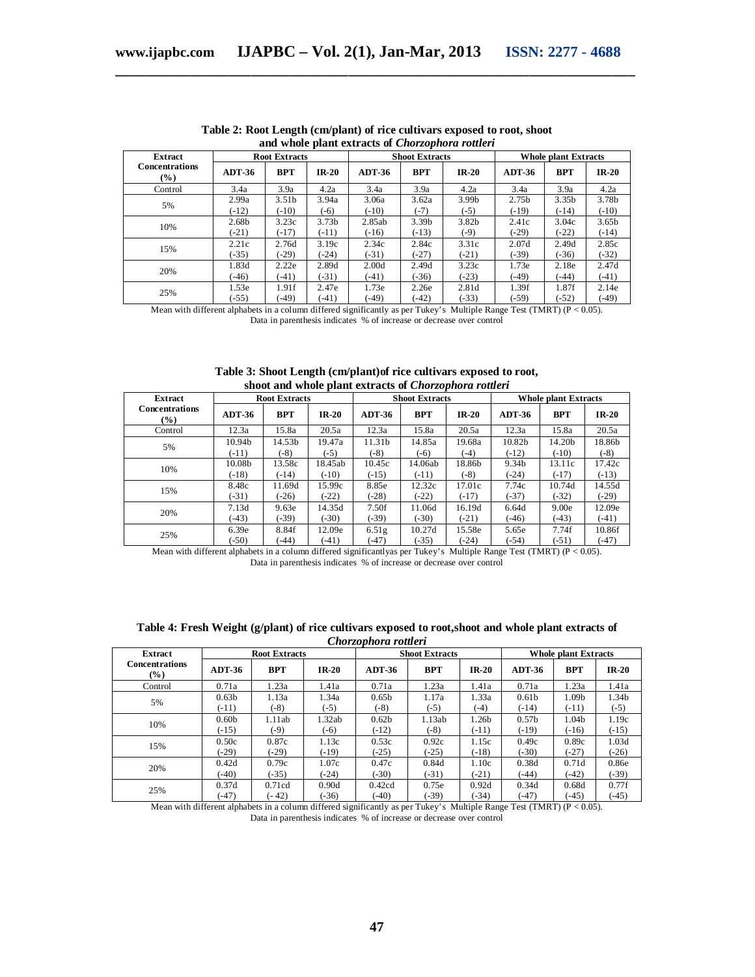| <b>Extract</b>                         | <b>Root Extracts</b> |                   |                   |               | <b>Shoot Extracts</b> |                   | <b>Whole plant Extracts</b> |                   |                   |
|----------------------------------------|----------------------|-------------------|-------------------|---------------|-----------------------|-------------------|-----------------------------|-------------------|-------------------|
| <b>Concentrations</b><br>$\frac{9}{6}$ | <b>ADT-36</b>        | <b>BPT</b>        | $IR-20$           | <b>ADT-36</b> | <b>BPT</b>            | $IR-20$           | $ADT-36$                    | <b>BPT</b>        | $IR-20$           |
| Control                                | 3.4a                 | 3.9a              | 4.2a              | 3.4a          | 3.9a                  | 4.2a              | 3.4a                        | 3.9a              | 4.2a              |
|                                        | 2.99a                | 3.51 <sub>b</sub> | 3.94a             | 3.06a         | 3.62a                 | 3.99b             | 2.75 <sub>b</sub>           | 3.35 <sub>b</sub> | 3.78b             |
| 5%                                     | $(-12)$              | $(-10)$           | $(-6)$            | $(-10)$       | $(-7)$                | $(-5)$            | $(-19)$                     | $(-14)$           | $(-10)$           |
|                                        | 2.68b                | 3.23c             | 3.73 <sub>b</sub> | 2.85ab        | 3.39 <sub>b</sub>     | 3.82 <sub>b</sub> | 2.41c                       | 3.04c             | 3.65 <sub>b</sub> |
| 10%                                    | $(-21)$              | $(-17)$           | $(-11)$           | $(-16)$       | $(-13)$               | $(-9)$            | $(-29)$                     | $(-22)$           | $(-14)$           |
|                                        | 2.21c                | 2.76d             | 3.19c             | 2.34c         | 2.84c                 | 3.31c             | 2.07d                       | 2.49d             | 2.85c             |
| 15%                                    | $(-35)$              | $(-29)$           | $(-24)$           | $(-31)$       | $(-27)$               | $(-21)$           | $(-39)$                     | $(-36)$           | $(-32)$           |
|                                        | 1.83d                | 2.22e             | 2.89d             | 2.00d         | 2.49d                 | 3.23c             | 1.73e                       | 2.18e             | 2.47d             |
| 20%                                    | $(-46)$              | $(-41)$           | $(-31)$           | $(-41)$       | $(-36)$               | $(-23)$           | $(-49)$                     | $(-44)$           | $(-41)$           |
| 25%                                    | 1.53e                | 1.91f             | 2.47e             | 1.73e         | 2.26e                 | 2.81d             | 1.39f                       | 1.87f             | 2.14e             |
|                                        | $(-55)$              | $(-49)$           | $(-41)$           | $(-49)$       | $(-42)$               | $(-33)$           | $(-59)$                     | $(-52)$           | $(-49)$           |

**Table 2: Root Length (cm/plant) of rice cultivars exposed to root, shoot and whole plant extracts of** *Chorzophora rottleri*

Mean with different alphabets in a column differed significantly as per Tukey's Multiple Range Test (TMRT) (P < 0.05). Data in parenthesis indicates % of increase or decrease over control

| <b>Extract</b>                         | <b>Root Extracts</b> |                    |         |               | <b>Shoot Extracts</b> |         | <b>Whole plant Extracts</b> |                    |         |  |
|----------------------------------------|----------------------|--------------------|---------|---------------|-----------------------|---------|-----------------------------|--------------------|---------|--|
| <b>Concentrations</b><br>$\frac{9}{6}$ | <b>ADT-36</b>        | <b>BPT</b>         | $IR-20$ | <b>ADT-36</b> | <b>BPT</b>            | $IR-20$ | $ADT-36$                    | <b>BPT</b>         | $IR-20$ |  |
| Control                                | 12.3a                | 15.8a              | 20.5a   | 12.3a         | 15.8a                 | 20.5a   | 12.3a                       | 15.8a              | 20.5a   |  |
| 5%                                     | 10.94 <sub>b</sub>   | 14.53 <sub>b</sub> | 19.47a  | 11.31b        | 14.85a                | 19.68a  | 10.82b                      | 14.20 <sub>b</sub> | 18.86b  |  |
|                                        | $(-11)$              | $(-8)$             | $(-5)$  | $(-8)$        | $(-6)$                | $(-4)$  | $(-12)$                     | $(-10)$            | $(-8)$  |  |
| 10%                                    | 10.08b               | 13.58c             | 18.45ab | 10.45c        | 14.06ab               | 18.86b  | 9.34b                       | 13.11c             | 17.42c  |  |
|                                        | $(-18)$              | $(-14)$            | $(-10)$ | $(-15)$       | $(-11)$               | $(-8)$  | $(-24)$                     | $(-17)$            | $(-13)$ |  |
| 15%                                    | 8.48c                | 11.69d             | 15.99c  | 8.85e         | 12.32c                | 17.01c  | 7.74c                       | 10.74d             | 14.55d  |  |
|                                        | $(-31)$              | $(-26)$            | $(-22)$ | $(-28)$       | $(-22)$               | $(-17)$ | $(-37)$                     | $(-32)$            | $(-29)$ |  |
|                                        | 7.13d                | 9.63e              | 14.35d  | 7.50f         | 11.06d                | 16.19d  | 6.64d                       | 9.00e              | 12.09e  |  |
| 20%                                    | $(-43)$              | $-39$              | $(-30)$ | $(-39)$       | $(-30)$               | $(-21)$ | $(-46)$                     | $(-43)$            | $(-41)$ |  |
|                                        | 6.39e                | 8.84f              | 12.09e  | 6.51g         | 10.27d                | 15.58e  | 5.65e                       | 7.74f              | 10.86f  |  |
| 25%                                    | $(-50)$              | $(-44)$            | $(-41)$ | $(-47)$       | $(-35)$               | $(-24)$ | $(-54)$                     | $(-51)$            | $(-47)$ |  |

#### **Table 3: Shoot Length (cm/plant)of rice cultivars exposed to root, shoot and whole plant extracts of** *Chorzophora rottleri*

Mean with different alphabets in a column differed significantlyas per Tukey's Multiple Range Test (TMRT) (P < 0.05). Data in parenthesis indicates % of increase or decrease over control

| Table 4: Fresh Weight (g/plant) of rice cultivars exposed to root, shoot and whole plant extracts of |  |
|------------------------------------------------------------------------------------------------------|--|
| Chorzophora rottleri                                                                                 |  |

| <b>Extract</b>                         | <b>Root Extracts</b> |            |         |                   | <b>Shoot Extracts</b> |         | <b>Whole plant Extracts</b> |            |         |  |  |  |
|----------------------------------------|----------------------|------------|---------|-------------------|-----------------------|---------|-----------------------------|------------|---------|--|--|--|
| <b>Concentrations</b><br>$\frac{9}{6}$ | <b>ADT-36</b>        | <b>BPT</b> | $IR-20$ | ADT-36            | <b>BPT</b>            | $IR-20$ | <b>ADT-36</b>               | <b>BPT</b> | $IR-20$ |  |  |  |
| Control                                | 0.71a                | 1.23a      | 1.41a   | 0.71a             | 1.23a                 | 1.41a   | 0.71a                       | 1.23a      | 1.41a   |  |  |  |
|                                        | 0.63 <sub>b</sub>    | 1.13a      | 1.34a   | 0.65 <sub>b</sub> | 1.17a                 | 1.33a   | 0.61 <sub>b</sub>           | 1.09b      | 1.34b   |  |  |  |
| 5%                                     | $(-11)$              | $(-8)$     | $(-5)$  | $(-8)$            | $(-5)$                | $(-4)$  | $(-14)$                     | $(-11)$    | $(-5)$  |  |  |  |
| 10%                                    | 0.60 <sub>b</sub>    | 1.11ab     | 1.32ab  | 0.62 <sub>b</sub> | 1.13ab                | 1.26b   | 0.57 <sub>b</sub>           | 1.04b      | 1.19c   |  |  |  |
|                                        | $(-15)$              | (-9)       | $(-6)$  | $(-12)$           | $-8)$                 | $(-11)$ | $(-19)$                     | $(-16)$    | $(-15)$ |  |  |  |
| 15%                                    | 0.50c                | 0.87c      | 1.13c   | 0.53c             | 0.92c                 | 1.15c   | 0.49c                       | 0.89c      | 1.03d   |  |  |  |
|                                        | $(-29)$              | $(-29)$    | $(-19)$ | $(-25)$           | $(-25)$               | $(-18)$ | $(-30)$                     | $(-27)$    | $(-26)$ |  |  |  |
| 20%                                    | 0.42d                | 0.79c      | 1.07c   | 0.47c             | 0.84d                 | 1.10c   | 0.38d                       | 0.71d      | 0.86e   |  |  |  |
|                                        | $(-40)$              | $(-35)$    | $(-24)$ | (.30)             | $(-31)$               | $(-21)$ | $(-44)$                     | $(-42)$    | $(-39)$ |  |  |  |
| 25%                                    | 0.37d                | 0.71cd     | 0.90d   | 0.42cd            | 0.75e                 | 0.92d   | 0.34d                       | 0.68d      | 0.77f   |  |  |  |
|                                        | $(-47)$              | $(-42)$    | $(-36)$ | $(-40)$           | $(-39)$               | $(-34)$ | $(-47)$                     | $(-45)$    | $(-45)$ |  |  |  |

Mean with different alphabets in a column differed significantly as per Tukey's Multiple Range Test (TMRT) (P < 0.05). Data in parenthesis indicates % of increase or decrease over control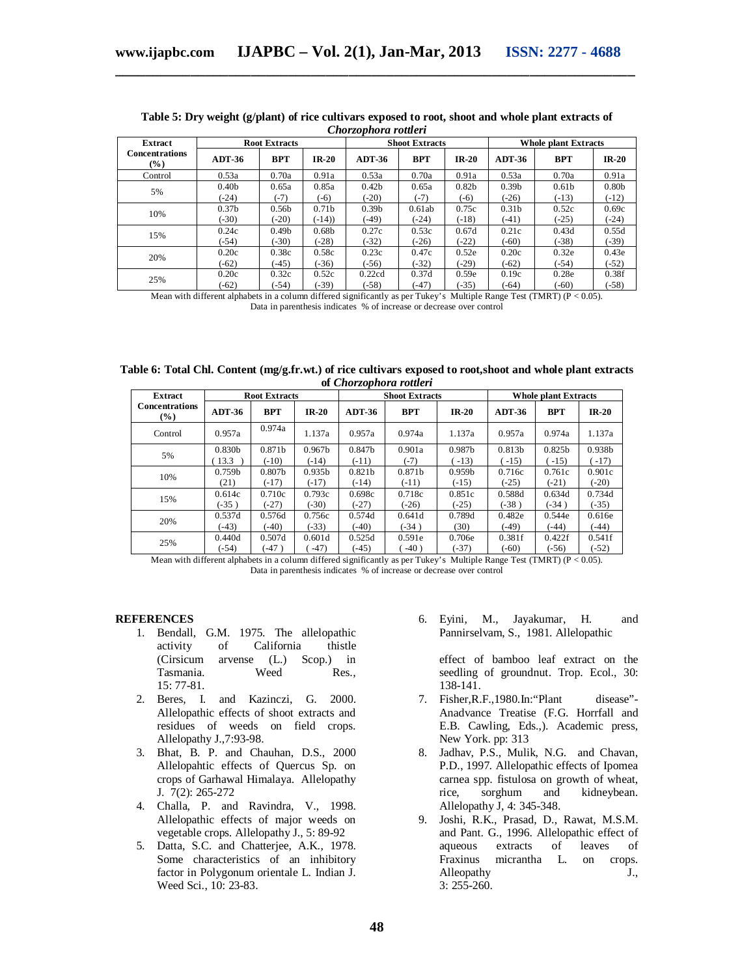| <b>Extract</b>                  | <b>Root Extracts</b> |                   |                   |                   | <b>Shoot Extracts</b> |                   | <b>Whole plant Extracts</b> |                   |                   |  |  |
|---------------------------------|----------------------|-------------------|-------------------|-------------------|-----------------------|-------------------|-----------------------------|-------------------|-------------------|--|--|
| <b>Concentrations</b><br>$(\%)$ | <b>ADT-36</b>        | <b>BPT</b>        | $IR-20$           | <b>ADT-36</b>     | <b>BPT</b>            | $IR-20$           | <b>ADT-36</b>               | <b>BPT</b>        | $IR-20$           |  |  |
| Control                         | 0.53a                | 0.70a             | 0.91a             | 0.53a             | 0.70a                 | 0.91a             | 0.53a                       | 0.70a             | 0.91a             |  |  |
| 5%                              | 0.40 <sub>b</sub>    | 0.65a             | 0.85a             | 0.42 <sub>b</sub> | 0.65a                 | 0.82 <sub>b</sub> | 0.39 <sub>b</sub>           | 0.61 <sub>b</sub> | 0.80 <sub>b</sub> |  |  |
|                                 | $(-24)$              | $(-7)$            | $(-6)$            | $(-20)$           | $(-7)$                | $(-6)$            | $(-26)$                     | $(-13)$           | $(-12)$           |  |  |
| 10%                             | 0.37 <sub>b</sub>    | 0.56 <sub>b</sub> | 0.71 <sub>b</sub> | 0.39 <sub>b</sub> | 0.61ab                | 0.75c             | 0.31 <sub>b</sub>           | 0.52c             | 0.69c             |  |  |
|                                 | $(-30)$              | $-20$             | $(-14)$           | $(-49)$           | $(-24)$               | $(-18)$           | $(-41)$                     | $(-25)$           | $(-24)$           |  |  |
| 15%                             | 0.24c                | 0.49 <sub>b</sub> | 0.68 <sub>b</sub> | 0.27c             | 0.53c                 | 0.67d             | 0.21c                       | 0.43d             | 0.55d             |  |  |
|                                 | $(-54)$              | $(-30)$           | $(-28)$           | $(-32)$           | $(-26)$               | $(-22)$           | $(-60)$                     | $(-38)$           | $(-39)$           |  |  |
| 20%                             | 0.20c                | 0.38c             | 0.58c             | 0.23c             | 0.47c                 | 0.52e             | 0.20c                       | 0.32e             | 0.43e             |  |  |
|                                 | $(-62)$              | $(-45)$           | $(-36)$           | $(-56)$           | $(-32)$               | $(-29)$           | $(-62)$                     | $(-54)$           | $(-52)$           |  |  |
| 25%                             | 0.20c                | 0.32c             | 0.52c             | 0.22cd            | 0.37d                 | 0.59e             | 0.19c                       | 0.28e             | 0.38f             |  |  |
|                                 | $(-62)$              | $(-54)$           | $(-39)$           | $(-58)$           | $(-47)$               | $(-35)$           | $(-64)$                     | $(-60)$           | $(-58)$           |  |  |

#### **Table 5: Dry weight (g/plant) of rice cultivars exposed to root, shoot and whole plant extracts of** *Chorzophora rottleri*

Mean with different alphabets in a column differed significantly as per Tukey's Multiple Range Test (TMRT) ( $P < 0.05$ ). Data in parenthesis indicates % of increase or decrease over control

| Table 6: Total Chl. Content (mg/g.fr.wt.) of rice cultivars exposed to root, shoot and whole plant extracts |  |                         |  |  |  |
|-------------------------------------------------------------------------------------------------------------|--|-------------------------|--|--|--|
|                                                                                                             |  | of Chorzophora rottleri |  |  |  |

| <b>Extract</b>                         | <b>Root Extracts</b> |                    |                    |                    | <b>Shoot Extracts</b> |                    | <b>Whole plant Extracts</b> |                    |                    |  |
|----------------------------------------|----------------------|--------------------|--------------------|--------------------|-----------------------|--------------------|-----------------------------|--------------------|--------------------|--|
| <b>Concentrations</b><br>$\frac{9}{6}$ | $ADT-36$             | <b>BPT</b>         | $IR-20$            | <b>ADT-36</b>      | <b>BPT</b>            | $IR-20$            | <b>ADT-36</b>               | <b>BPT</b>         | $IR-20$            |  |
| Control                                | 0.957a               | 0.974a             | 1.137a             | 0.957a             | 0.974a                | 1.137a             | 0.957a                      | 0.974a             | 1.137a             |  |
| 5%                                     | 0.830 <sub>b</sub>   | 0.871b             | 0.967 <sub>b</sub> | 0.847b             | 0.901a                | 0.987b             | 0.813 <sub>b</sub>          | 0.825 <sub>b</sub> | 0.938 <sub>b</sub> |  |
|                                        | 13.3                 | $(-10)$            | $(-14)$            | $(-11)$            | $(-7)$                | $-13)$             | $-15)$                      | $-15)$             | $-17)$             |  |
| 10%                                    | 0.759 <sub>b</sub>   | 0.807 <sub>b</sub> | 0.935 <sub>b</sub> | 0.821 <sub>b</sub> | 0.871b                | 0.959 <sub>b</sub> | 0.716c                      | 0.761c             | 0.901c             |  |
|                                        | (21)                 | $(-17)$            | $(-17)$            | $(-14)$            | $(-11)$               | $(-15)$            | $(-25)$                     | $(-21)$            | $(-20)$            |  |
| 15%                                    | 0.614c               | 0.710c             | 0.793c             | 0.698c             | 0.718c                | 0.851c             | 0.588d                      | 0.634d             | 0.734d             |  |
|                                        | $(-35)$              | $(-27)$            | $(-30)$            | $(-27)$            | $(-26)$               | $(-25)$            | $(-38)$                     | $(-34)$            | $(-35)$            |  |
| 20%                                    | 0.537d               | 0.576d             | 0.756c             | 0.574d             | 0.641d                | 0.789d             | 0.482e                      | 0.544e             | 0.616e             |  |
|                                        | $(-43)$              | $(-40)$            | $(-33)$            | $(-40)$            | $(-34)$               | (30)               | $(-49)$                     | $(-44)$            | $(-44)$            |  |
| 25%                                    | 0.440d               | 0.507d             | 0.601d             | 0.525d             | 0.591e                | 0.706e             | 0.381f                      | 0.422f             | 0.541f             |  |
|                                        | $(-54)$              | $-47)$             | $-47$              | $(-45)$            | $-40$ )               | $(-37)$            | $(-60)$                     | $(-56)$            | $(-52)$            |  |

Mean with different alphabets in a column differed significantly as per Tukey's Multiple Range Test (TMRT) ( $P < 0.05$ ). Data in parenthesis indicates % of increase or decrease over control

#### **REFERENCES**

- 1. Bendall, G.M. 1975. The allelopathic activity of California thistle (Cirsicum arvense (L.) Scop.) in<br>Tasmania. Weed Res.. Tasmania. Weed Res., 15: 77-81.
- 2. Beres, I. and Kazinczi, G. 2000. Allelopathic effects of shoot extracts and residues of weeds on field crops. Allelopathy J.,7:93-98.
- 3. Bhat, B. P. and Chauhan, D.S., 2000 Allelopahtic effects of Quercus Sp. on crops of Garhawal Himalaya. Allelopathy J.  $7(2)$ : 265-272
- 4. Challa, P. and Ravindra, V., 1998. Allelopathic effects of major weeds on vegetable crops. Allelopathy J., 5: 89-92
- 5. Datta, S.C. and Chatterjee, A.K., 1978. Some characteristics of an inhibitory factor in Polygonum orientale L. Indian J. Weed Sci., 10: 23-83.

6. Eyini, M., Jayakumar, H. and Pannirselvam, S., 1981. Allelopathic

effect of bamboo leaf extract on the seedling of groundnut. Trop. Ecol., 30: 138-141.

- 7. Fisher,R.F.,1980.In:"Plant disease"- Anadvance Treatise (F.G. Horrfall and E.B. Cawling, Eds.,). Academic press, New York. pp: 313
- 8. Jadhav, P.S., Mulik, N.G. and Chavan, P.D., 1997. Allelopathic effects of Ipomea carnea spp. fistulosa on growth of wheat,<br>rice, sorghum and kidneybean. rice, sorghum and kidneybean. Allelopathy J, 4: 345-348.
- 9. Joshi, R.K., Prasad, D., Rawat, M.S.M. and Pant. G., 1996. Allelopathic effect of aqueous extracts of leaves of Fraxinus micrantha L. on crops. Alleopathy J., 3: 255-260.